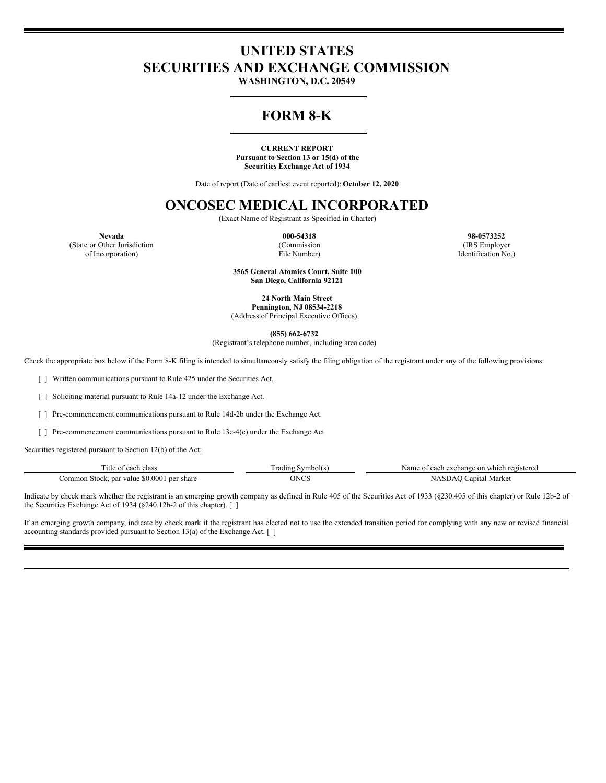# **UNITED STATES SECURITIES AND EXCHANGE COMMISSION**

**WASHINGTON, D.C. 20549**

## **FORM 8-K**

#### **CURRENT REPORT Pursuant to Section 13 or 15(d) of the Securities Exchange Act of 1934**

Date of report (Date of earliest event reported): **October 12, 2020**

### **ONCOSEC MEDICAL INCORPORATED**

(Exact Name of Registrant as Specified in Charter)

(Commission File Number)

**Nevada 000-54318 98-0573252** (IRS Employer Identification No.)

(State or Other Jurisdiction of Incorporation)

> **3565 General Atomics Court, Suite 100 San Diego, California 92121**

**24 North Main Street Pennington, NJ 08534-2218** (Address of Principal Executive Offices)

**(855) 662-6732**

(Registrant's telephone number, including area code)

Check the appropriate box below if the Form 8-K filing is intended to simultaneously satisfy the filing obligation of the registrant under any of the following provisions:

[ ] Written communications pursuant to Rule 425 under the Securities Act.

[ ] Soliciting material pursuant to Rule 14a-12 under the Exchange Act.

[ ] Pre-commencement communications pursuant to Rule 14d-2b under the Exchange Act.

[ ] Pre-commencement communications pursuant to Rule 13e-4(c) under the Exchange Act.

Securities registered pursuant to Section 12(b) of the Act:

| <sup>1</sup> tle<br>class<br>-01.                                                   | $\overline{\phantom{a}}$<br>Symbol(s)<br>radins | each exchange on<br>1 registered<br>Name<br>which<br>$\sim$ |
|-------------------------------------------------------------------------------------|-------------------------------------------------|-------------------------------------------------------------|
| .000 <sup>1</sup><br>-50<br>share<br>.ommon<br>par<br>value<br>Stock.<br>. ner<br>. | איש⊾<br>.                                       | Market<br>anita                                             |

Indicate by check mark whether the registrant is an emerging growth company as defined in Rule 405 of the Securities Act of 1933 (§230.405 of this chapter) or Rule 12b-2 of the Securities Exchange Act of 1934 (§240.12b-2 of this chapter). [ ]

If an emerging growth company, indicate by check mark if the registrant has elected not to use the extended transition period for complying with any new or revised financial accounting standards provided pursuant to Section 13(a) of the Exchange Act. [ ]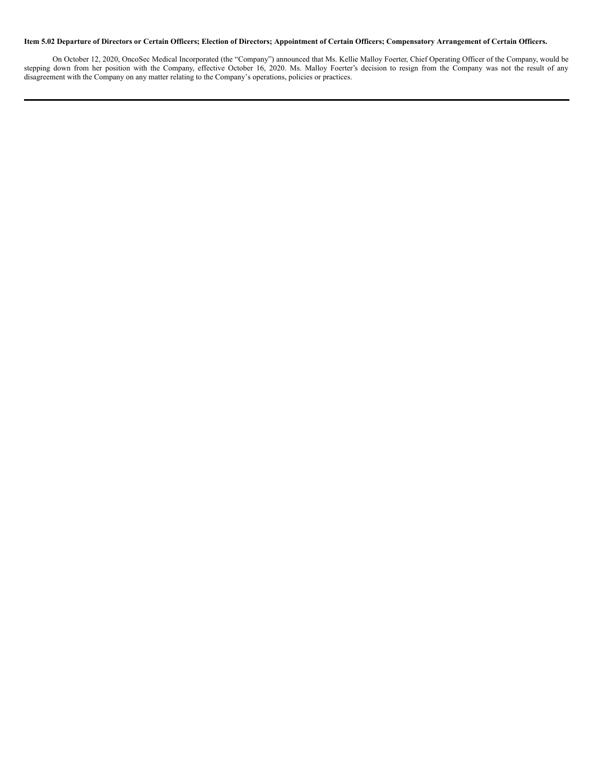### Item 5.02 Departure of Directors or Certain Officers; Election of Directors; Appointment of Certain Officers; Compensatory Arrangement of Certain Officers.

On October 12, 2020, OncoSec Medical Incorporated (the "Company") announced that Ms. Kellie Malloy Foerter, Chief Operating Officer of the Company, would be stepping down from her position with the Company, effective October 16, 2020. Ms. Malloy Foerter's decision to resign from the Company was not the result of any disagreement with the Company on any matter relating to the Company's operations, policies or practices.